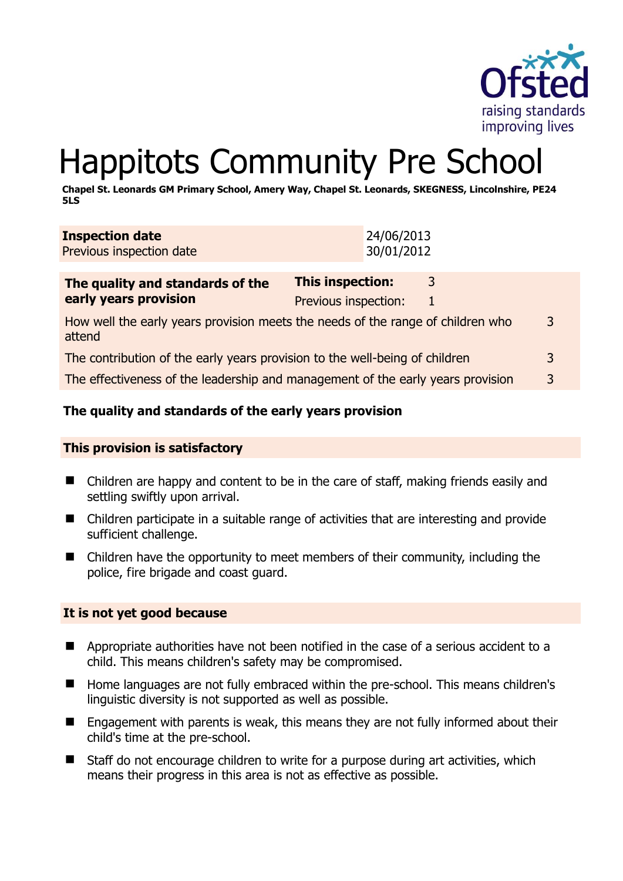

# Happitots Community Pre School

**Chapel St. Leonards GM Primary School, Amery Way, Chapel St. Leonards, SKEGNESS, Lincolnshire, PE24 5LS** 

| The quality and standards of the                   | This inspection: | 3                        |
|----------------------------------------------------|------------------|--------------------------|
| <b>Inspection date</b><br>Previous inspection date |                  | 24/06/2013<br>30/01/2012 |

| <b>THE GUARGEY AND SCANDALUS OF CITE</b>                                                  |                      |   |
|-------------------------------------------------------------------------------------------|----------------------|---|
| early years provision                                                                     | Previous inspection: |   |
| How well the early years provision meets the needs of the range of children who<br>attend |                      | 3 |
| The contribution of the early years provision to the well-being of children               |                      | 3 |
| The effectiveness of the leadership and management of the early years provision           |                      | 3 |

# **The quality and standards of the early years provision**

#### **This provision is satisfactory**

- Children are happy and content to be in the care of staff, making friends easily and settling swiftly upon arrival.
- Children participate in a suitable range of activities that are interesting and provide sufficient challenge.
- Children have the opportunity to meet members of their community, including the police, fire brigade and coast guard.

#### **It is not yet good because**

- **E** Appropriate authorities have not been notified in the case of a serious accident to a child. This means children's safety may be compromised.
- Home languages are not fully embraced within the pre-school. This means children's linguistic diversity is not supported as well as possible.
- Engagement with parents is weak, this means they are not fully informed about their child's time at the pre-school.
- Staff do not encourage children to write for a purpose during art activities, which means their progress in this area is not as effective as possible.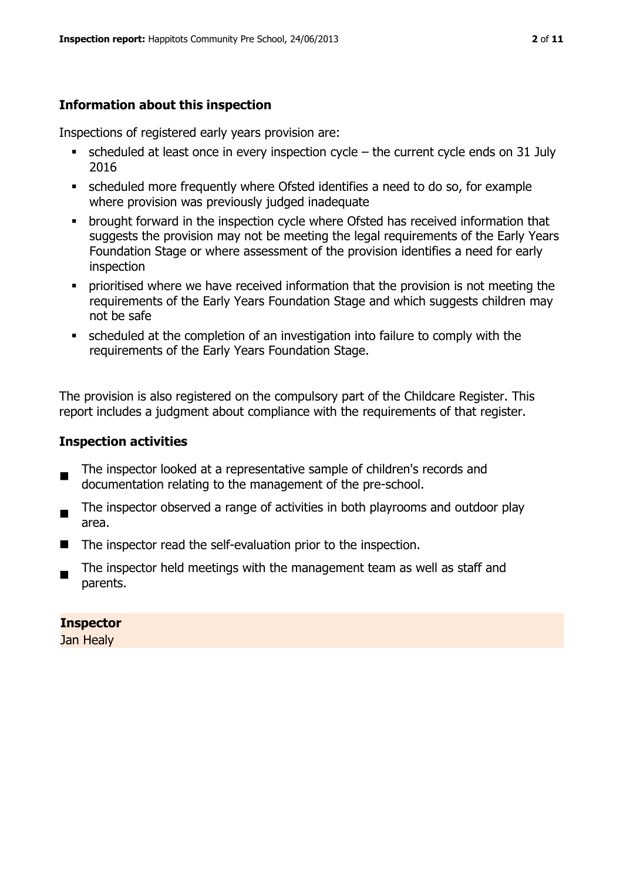# **Information about this inspection**

Inspections of registered early years provision are:

- $\blacksquare$  scheduled at least once in every inspection cycle the current cycle ends on 31 July 2016
- scheduled more frequently where Ofsted identifies a need to do so, for example where provision was previously judged inadequate
- **•** brought forward in the inspection cycle where Ofsted has received information that suggests the provision may not be meeting the legal requirements of the Early Years Foundation Stage or where assessment of the provision identifies a need for early inspection
- **•** prioritised where we have received information that the provision is not meeting the requirements of the Early Years Foundation Stage and which suggests children may not be safe
- scheduled at the completion of an investigation into failure to comply with the requirements of the Early Years Foundation Stage.

The provision is also registered on the compulsory part of the Childcare Register. This report includes a judgment about compliance with the requirements of that register.

# **Inspection activities**

- $\blacksquare$ The inspector looked at a representative sample of children's records and documentation relating to the management of the pre-school.
- . The inspector observed a range of activities in both playrooms and outdoor play area.
- The inspector read the self-evaluation prior to the inspection.
- The inspector held meetings with the management team as well as staff and parents.

**Inspector**  Jan Healy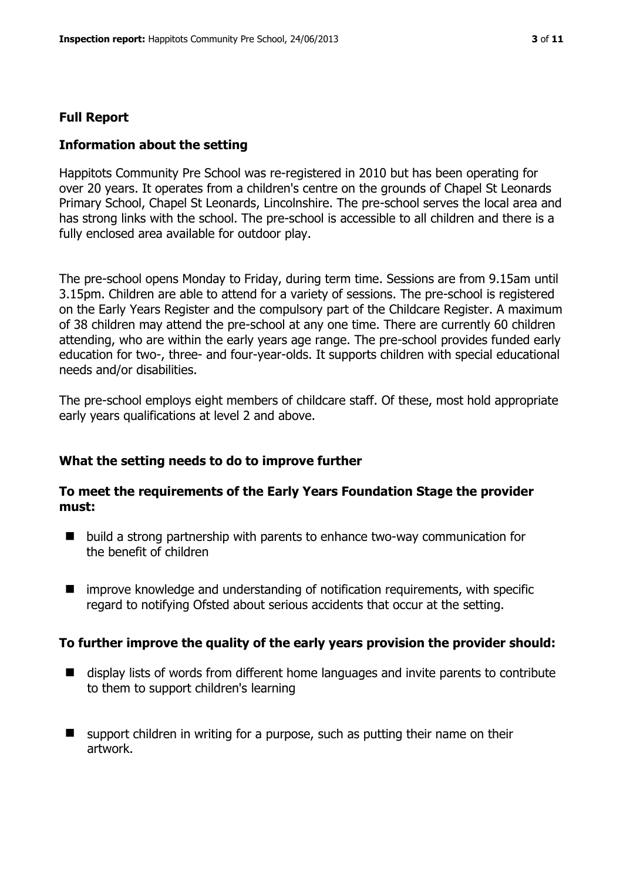# **Full Report**

#### **Information about the setting**

Happitots Community Pre School was re-registered in 2010 but has been operating for over 20 years. It operates from a children's centre on the grounds of Chapel St Leonards Primary School, Chapel St Leonards, Lincolnshire. The pre-school serves the local area and has strong links with the school. The pre-school is accessible to all children and there is a fully enclosed area available for outdoor play.

The pre-school opens Monday to Friday, during term time. Sessions are from 9.15am until 3.15pm. Children are able to attend for a variety of sessions. The pre-school is registered on the Early Years Register and the compulsory part of the Childcare Register. A maximum of 38 children may attend the pre-school at any one time. There are currently 60 children attending, who are within the early years age range. The pre-school provides funded early education for two-, three- and four-year-olds. It supports children with special educational needs and/or disabilities.

The pre-school employs eight members of childcare staff. Of these, most hold appropriate early years qualifications at level 2 and above.

#### **What the setting needs to do to improve further**

#### **To meet the requirements of the Early Years Foundation Stage the provider must:**

- build a strong partnership with parents to enhance two-way communication for the benefit of children
- improve knowledge and understanding of notification requirements, with specific regard to notifying Ofsted about serious accidents that occur at the setting.

#### **To further improve the quality of the early years provision the provider should:**

- display lists of words from different home languages and invite parents to contribute to them to support children's learning
- **E** support children in writing for a purpose, such as putting their name on their artwork.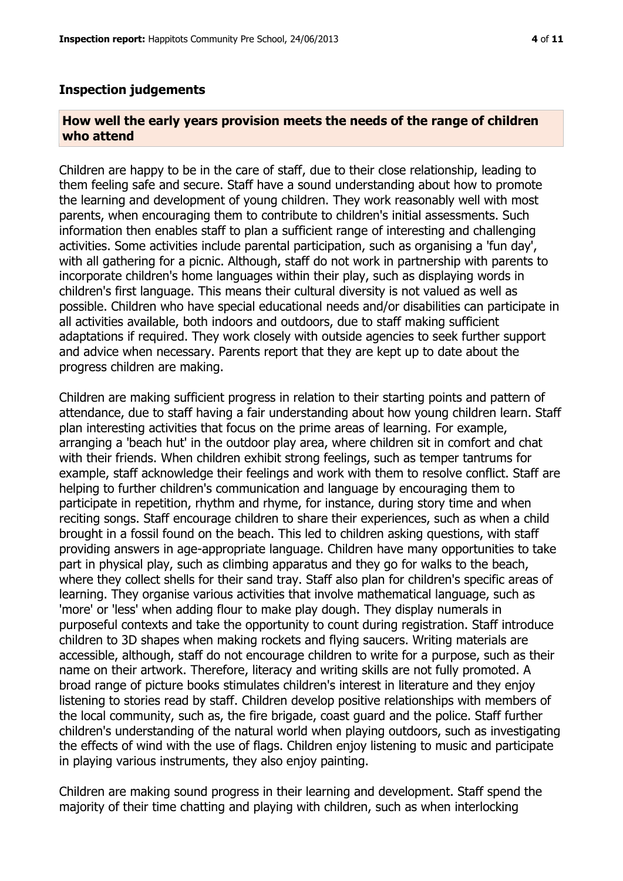#### **Inspection judgements**

#### **How well the early years provision meets the needs of the range of children who attend**

Children are happy to be in the care of staff, due to their close relationship, leading to them feeling safe and secure. Staff have a sound understanding about how to promote the learning and development of young children. They work reasonably well with most parents, when encouraging them to contribute to children's initial assessments. Such information then enables staff to plan a sufficient range of interesting and challenging activities. Some activities include parental participation, such as organising a 'fun day', with all gathering for a picnic. Although, staff do not work in partnership with parents to incorporate children's home languages within their play, such as displaying words in children's first language. This means their cultural diversity is not valued as well as possible. Children who have special educational needs and/or disabilities can participate in all activities available, both indoors and outdoors, due to staff making sufficient adaptations if required. They work closely with outside agencies to seek further support and advice when necessary. Parents report that they are kept up to date about the progress children are making.

Children are making sufficient progress in relation to their starting points and pattern of attendance, due to staff having a fair understanding about how young children learn. Staff plan interesting activities that focus on the prime areas of learning. For example, arranging a 'beach hut' in the outdoor play area, where children sit in comfort and chat with their friends. When children exhibit strong feelings, such as temper tantrums for example, staff acknowledge their feelings and work with them to resolve conflict. Staff are helping to further children's communication and language by encouraging them to participate in repetition, rhythm and rhyme, for instance, during story time and when reciting songs. Staff encourage children to share their experiences, such as when a child brought in a fossil found on the beach. This led to children asking questions, with staff providing answers in age-appropriate language. Children have many opportunities to take part in physical play, such as climbing apparatus and they go for walks to the beach, where they collect shells for their sand tray. Staff also plan for children's specific areas of learning. They organise various activities that involve mathematical language, such as 'more' or 'less' when adding flour to make play dough. They display numerals in purposeful contexts and take the opportunity to count during registration. Staff introduce children to 3D shapes when making rockets and flying saucers. Writing materials are accessible, although, staff do not encourage children to write for a purpose, such as their name on their artwork. Therefore, literacy and writing skills are not fully promoted. A broad range of picture books stimulates children's interest in literature and they enjoy listening to stories read by staff. Children develop positive relationships with members of the local community, such as, the fire brigade, coast guard and the police. Staff further children's understanding of the natural world when playing outdoors, such as investigating the effects of wind with the use of flags. Children enjoy listening to music and participate in playing various instruments, they also enjoy painting.

Children are making sound progress in their learning and development. Staff spend the majority of their time chatting and playing with children, such as when interlocking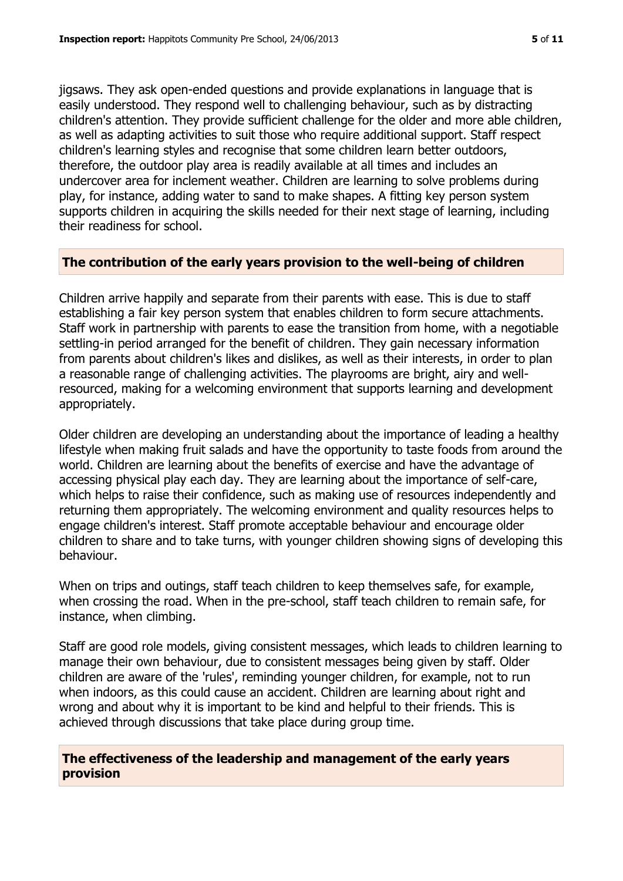jigsaws. They ask open-ended questions and provide explanations in language that is easily understood. They respond well to challenging behaviour, such as by distracting children's attention. They provide sufficient challenge for the older and more able children, as well as adapting activities to suit those who require additional support. Staff respect children's learning styles and recognise that some children learn better outdoors, therefore, the outdoor play area is readily available at all times and includes an undercover area for inclement weather. Children are learning to solve problems during play, for instance, adding water to sand to make shapes. A fitting key person system supports children in acquiring the skills needed for their next stage of learning, including their readiness for school.

# **The contribution of the early years provision to the well-being of children**

Children arrive happily and separate from their parents with ease. This is due to staff establishing a fair key person system that enables children to form secure attachments. Staff work in partnership with parents to ease the transition from home, with a negotiable settling-in period arranged for the benefit of children. They gain necessary information from parents about children's likes and dislikes, as well as their interests, in order to plan a reasonable range of challenging activities. The playrooms are bright, airy and wellresourced, making for a welcoming environment that supports learning and development appropriately.

Older children are developing an understanding about the importance of leading a healthy lifestyle when making fruit salads and have the opportunity to taste foods from around the world. Children are learning about the benefits of exercise and have the advantage of accessing physical play each day. They are learning about the importance of self-care, which helps to raise their confidence, such as making use of resources independently and returning them appropriately. The welcoming environment and quality resources helps to engage children's interest. Staff promote acceptable behaviour and encourage older children to share and to take turns, with younger children showing signs of developing this behaviour.

When on trips and outings, staff teach children to keep themselves safe, for example, when crossing the road. When in the pre-school, staff teach children to remain safe, for instance, when climbing.

Staff are good role models, giving consistent messages, which leads to children learning to manage their own behaviour, due to consistent messages being given by staff. Older children are aware of the 'rules', reminding younger children, for example, not to run when indoors, as this could cause an accident. Children are learning about right and wrong and about why it is important to be kind and helpful to their friends. This is achieved through discussions that take place during group time.

# **The effectiveness of the leadership and management of the early years provision**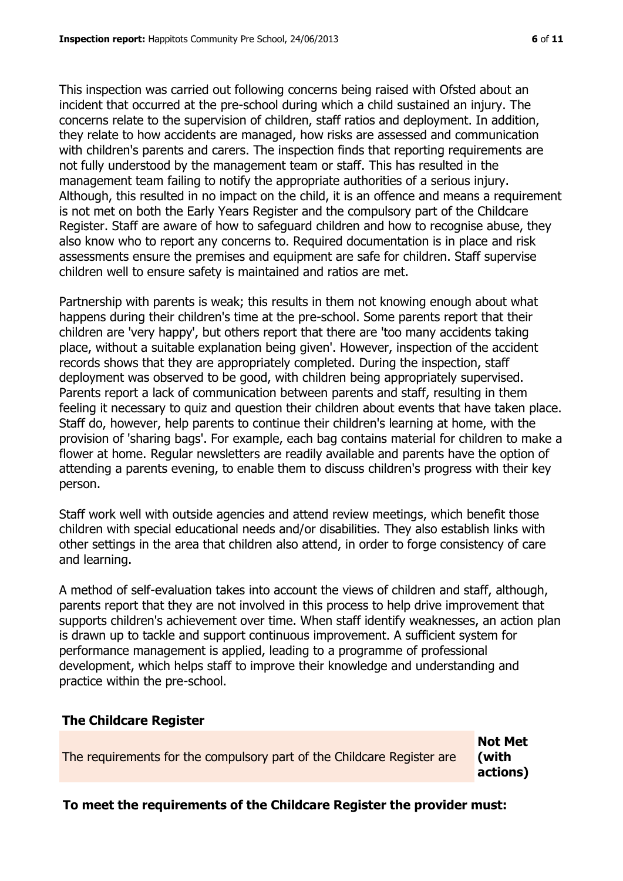This inspection was carried out following concerns being raised with Ofsted about an incident that occurred at the pre-school during which a child sustained an injury. The concerns relate to the supervision of children, staff ratios and deployment. In addition, they relate to how accidents are managed, how risks are assessed and communication with children's parents and carers. The inspection finds that reporting requirements are not fully understood by the management team or staff. This has resulted in the management team failing to notify the appropriate authorities of a serious injury. Although, this resulted in no impact on the child, it is an offence and means a requirement is not met on both the Early Years Register and the compulsory part of the Childcare Register. Staff are aware of how to safeguard children and how to recognise abuse, they also know who to report any concerns to. Required documentation is in place and risk assessments ensure the premises and equipment are safe for children. Staff supervise children well to ensure safety is maintained and ratios are met.

Partnership with parents is weak; this results in them not knowing enough about what happens during their children's time at the pre-school. Some parents report that their children are 'very happy', but others report that there are 'too many accidents taking place, without a suitable explanation being given'. However, inspection of the accident records shows that they are appropriately completed. During the inspection, staff deployment was observed to be good, with children being appropriately supervised. Parents report a lack of communication between parents and staff, resulting in them feeling it necessary to quiz and question their children about events that have taken place. Staff do, however, help parents to continue their children's learning at home, with the provision of 'sharing bags'. For example, each bag contains material for children to make a flower at home. Regular newsletters are readily available and parents have the option of attending a parents evening, to enable them to discuss children's progress with their key person.

Staff work well with outside agencies and attend review meetings, which benefit those children with special educational needs and/or disabilities. They also establish links with other settings in the area that children also attend, in order to forge consistency of care and learning.

A method of self-evaluation takes into account the views of children and staff, although, parents report that they are not involved in this process to help drive improvement that supports children's achievement over time. When staff identify weaknesses, an action plan is drawn up to tackle and support continuous improvement. A sufficient system for performance management is applied, leading to a programme of professional development, which helps staff to improve their knowledge and understanding and practice within the pre-school.

#### **The Childcare Register**

The requirements for the compulsory part of the Childcare Register are

**Not Met (with actions)**

**To meet the requirements of the Childcare Register the provider must:**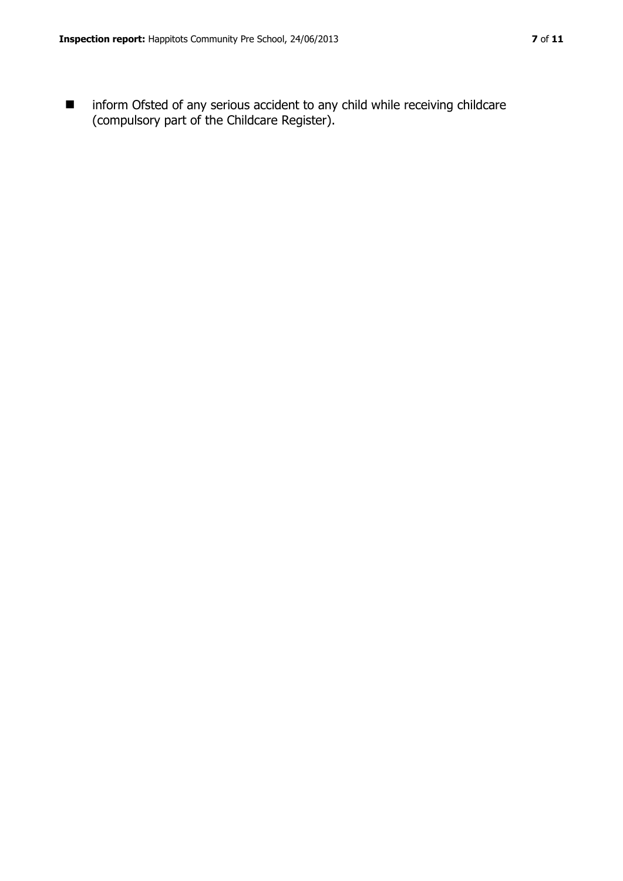$\blacksquare$  inform Ofsted of any serious accident to any child while receiving childcare (compulsory part of the Childcare Register).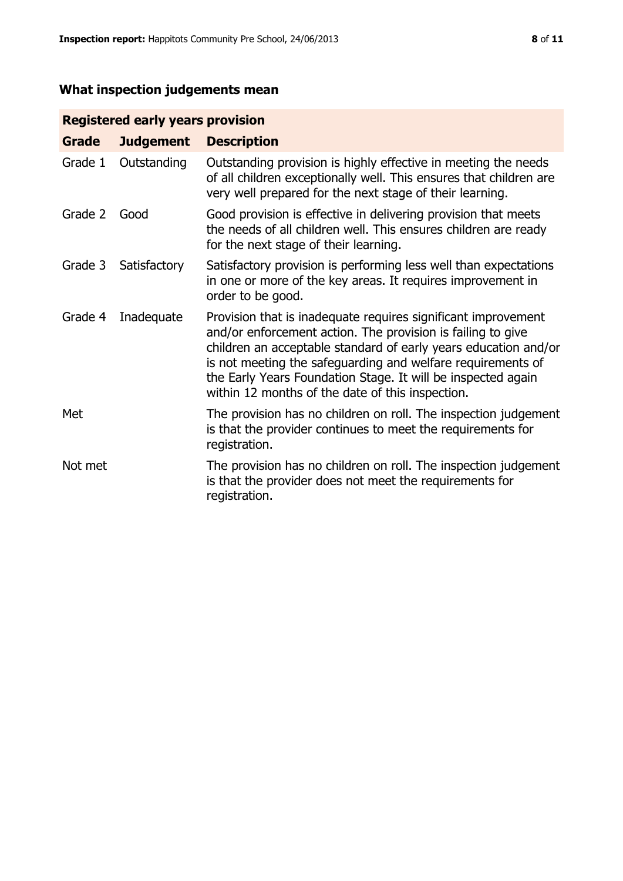# **What inspection judgements mean**

# **Registered early years provision**

| Grade   | <b>Judgement</b> | <b>Description</b>                                                                                                                                                                                                                                                                                                                                                                 |
|---------|------------------|------------------------------------------------------------------------------------------------------------------------------------------------------------------------------------------------------------------------------------------------------------------------------------------------------------------------------------------------------------------------------------|
| Grade 1 | Outstanding      | Outstanding provision is highly effective in meeting the needs<br>of all children exceptionally well. This ensures that children are<br>very well prepared for the next stage of their learning.                                                                                                                                                                                   |
| Grade 2 | Good             | Good provision is effective in delivering provision that meets<br>the needs of all children well. This ensures children are ready<br>for the next stage of their learning.                                                                                                                                                                                                         |
| Grade 3 | Satisfactory     | Satisfactory provision is performing less well than expectations<br>in one or more of the key areas. It requires improvement in<br>order to be good.                                                                                                                                                                                                                               |
| Grade 4 | Inadequate       | Provision that is inadequate requires significant improvement<br>and/or enforcement action. The provision is failing to give<br>children an acceptable standard of early years education and/or<br>is not meeting the safeguarding and welfare requirements of<br>the Early Years Foundation Stage. It will be inspected again<br>within 12 months of the date of this inspection. |
| Met     |                  | The provision has no children on roll. The inspection judgement<br>is that the provider continues to meet the requirements for<br>registration.                                                                                                                                                                                                                                    |
| Not met |                  | The provision has no children on roll. The inspection judgement<br>is that the provider does not meet the requirements for<br>registration.                                                                                                                                                                                                                                        |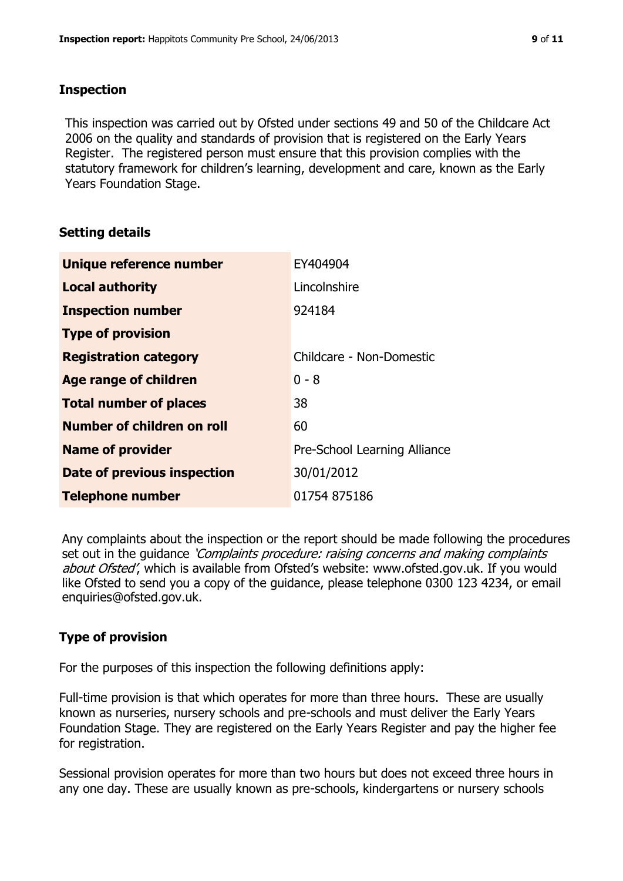# **Inspection**

This inspection was carried out by Ofsted under sections 49 and 50 of the Childcare Act 2006 on the quality and standards of provision that is registered on the Early Years Register. The registered person must ensure that this provision complies with the statutory framework for children's learning, development and care, known as the Early Years Foundation Stage.

# **Setting details**

| Unique reference number            | EY404904                     |  |
|------------------------------------|------------------------------|--|
| <b>Local authority</b>             | Lincolnshire                 |  |
| <b>Inspection number</b>           | 924184                       |  |
| <b>Type of provision</b>           |                              |  |
| <b>Registration category</b>       | Childcare - Non-Domestic     |  |
| Age range of children              | $0 - 8$                      |  |
| <b>Total number of places</b>      | 38                           |  |
| Number of children on roll         | 60                           |  |
| <b>Name of provider</b>            | Pre-School Learning Alliance |  |
| <b>Date of previous inspection</b> | 30/01/2012                   |  |
| <b>Telephone number</b>            | 01754 875186                 |  |

Any complaints about the inspection or the report should be made following the procedures set out in the guidance *'Complaints procedure: raising concerns and making complaints* about Ofsted', which is available from Ofsted's website: www.ofsted.gov.uk. If you would like Ofsted to send you a copy of the guidance, please telephone 0300 123 4234, or email enquiries@ofsted.gov.uk.

# **Type of provision**

For the purposes of this inspection the following definitions apply:

Full-time provision is that which operates for more than three hours. These are usually known as nurseries, nursery schools and pre-schools and must deliver the Early Years Foundation Stage. They are registered on the Early Years Register and pay the higher fee for registration.

Sessional provision operates for more than two hours but does not exceed three hours in any one day. These are usually known as pre-schools, kindergartens or nursery schools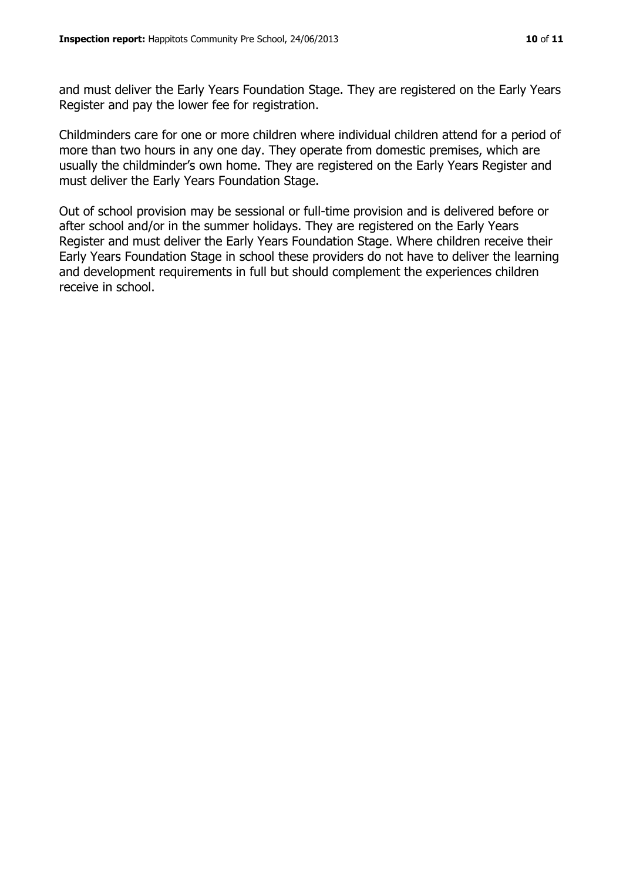and must deliver the Early Years Foundation Stage. They are registered on the Early Years Register and pay the lower fee for registration.

Childminders care for one or more children where individual children attend for a period of more than two hours in any one day. They operate from domestic premises, which are usually the childminder's own home. They are registered on the Early Years Register and must deliver the Early Years Foundation Stage.

Out of school provision may be sessional or full-time provision and is delivered before or after school and/or in the summer holidays. They are registered on the Early Years Register and must deliver the Early Years Foundation Stage. Where children receive their Early Years Foundation Stage in school these providers do not have to deliver the learning and development requirements in full but should complement the experiences children receive in school.